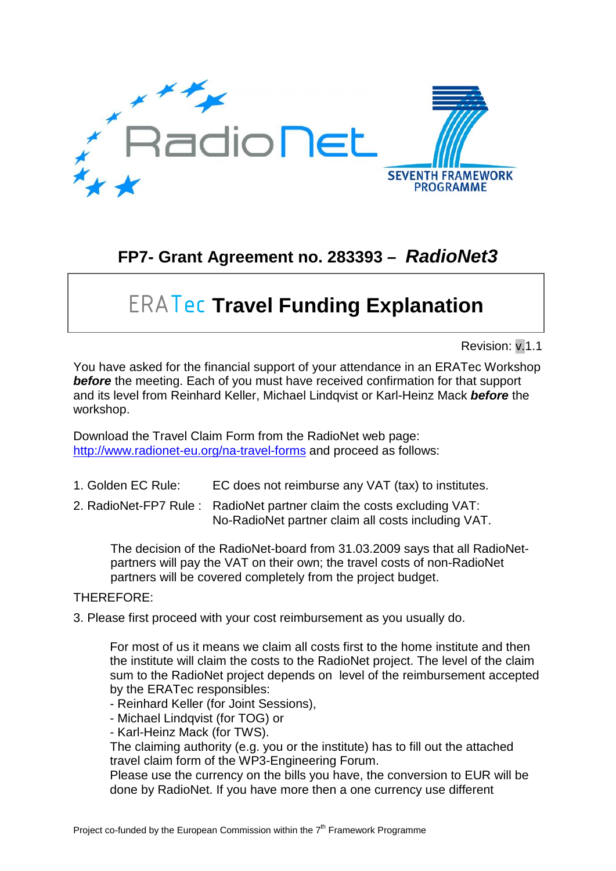

## **FP7- Grant Agreement no. 283393 –** *RadioNet3*

## ERATec **Travel Funding Explanation**

## Revision: v.1.1

You have asked for the financial support of your attendance in an ERATec Workshop **before** the meeting. Each of you must have received confirmation for that support and its level from Reinhard Keller, Michael Lindqvist or Karl-Heinz Mack *before* the workshop.

Download the Travel Claim Form from the RadioNet web page: <http://www.radionet-eu.org/na-travel-forms> and proceed as follows:

- 1. Golden EC Rule: EC does not reimburse any VAT (tax) to institutes.
- 2. RadioNet-FP7 Rule : RadioNet partner claim the costs excluding VAT: No-RadioNet partner claim all costs including VAT.

The decision of the RadioNet-board from 31.03.2009 says that all RadioNetpartners will pay the VAT on their own; the travel costs of non-RadioNet partners will be covered completely from the project budget.

## THEREFORE:

3. Please first proceed with your cost reimbursement as you usually do.

For most of us it means we claim all costs first to the home institute and then the institute will claim the costs to the RadioNet project. The level of the claim sum to the RadioNet project depends on level of the reimbursement accepted by the ERATec responsibles:

- Reinhard Keller (for Joint Sessions),
- Michael Lindqvist (for TOG) or
- Karl-Heinz Mack (for TWS).

The claiming authority (e.g. you or the institute) has to fill out the attached travel claim form of the WP3-Engineering Forum.

Please use the currency on the bills you have, the conversion to EUR will be done by RadioNet. If you have more then a one currency use different